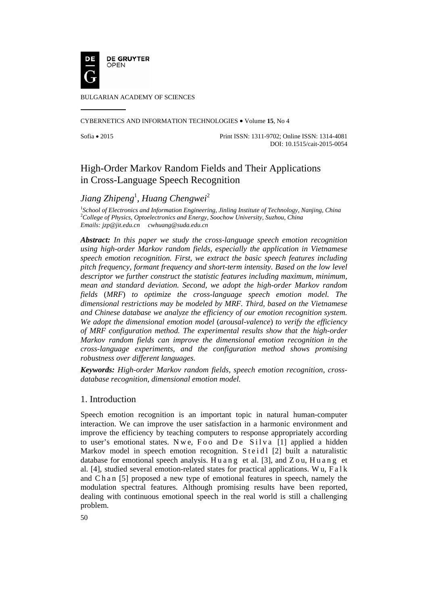

BULGARIAN ACADEMY OF SCIENCES

CYBERNETICS AND INFORMATION TECHNOLOGIES • Volume **15**, No 4

Sofia • 2015 Print ISSN: 1311-9702; Online ISSN: 1314-4081 DOI: 10.1515/cait-2015-0054

# High-Order Markov Random Fields and Their Applications in Cross-Language Speech Recognition

# *Jiang Zhipeng*<sup>1</sup> *, Huang Chengwei*<sup>2</sup>

<sup>1</sup>School of Electronics and Information Engineering, Jinling Institute of Technology, Nanjing, China <sup>2</sup>College of Physics, Optoelectronics and Energy, Secology, Injuggraphy China *College of Physics, Optoelectronics and Energy, Soochow University, Suzhou, China Emails: jzp@jit.edu.cn cwhuang@suda.edu.cn* 

*Abstract: In this paper we study the cross-language speech emotion recognition using high-order Markov random fields, especially the application in Vietnamese speech emotion recognition. First, we extract the basic speech features including pitch frequency, formant frequency and short-term intensity. Based on the low level descriptor we further construct the statistic features including maximum, minimum, mean and standard deviation. Second, we adopt the high-order Markov random fields* (*MRF*) *to optimize the cross-language speech emotion model. The dimensional restrictions may be modeled by MRF. Third, based on the Vietnamese and Chinese database we analyze the efficiency of our emotion recognition system. We adopt the dimensional emotion model* (*arousal-valence*) *to verify the efficiency of MRF configuration method. The experimental results show that the high-order Markov random fields can improve the dimensional emotion recognition in the cross-language experiments, and the configuration method shows promising robustness over different languages.* 

*Keywords: High-order Markov random fields, speech emotion recognition, crossdatabase recognition, dimensional emotion model.*

## 1. Introduction

Speech emotion recognition is an important topic in natural human-computer interaction. We can improve the user satisfaction in a harmonic environment and improve the efficiency by teaching computers to response appropriately according to user's emotional states. Nwe, Foo and De Silva [1] applied a hidden Markov model in speech emotion recognition. Steid  $[2]$  built a naturalistic database for emotional speech analysis. Huang et al. [3], and  $Z_{\text{ou}}$ , Huang et al. [4], studied several emotion-related states for practical applications. W u,  $F \cdot a \cdot k$ and Ch an [5] proposed a new type of emotional features in speech, namely the modulation spectral features. Although promising results have been reported, dealing with continuous emotional speech in the real world is still a challenging problem.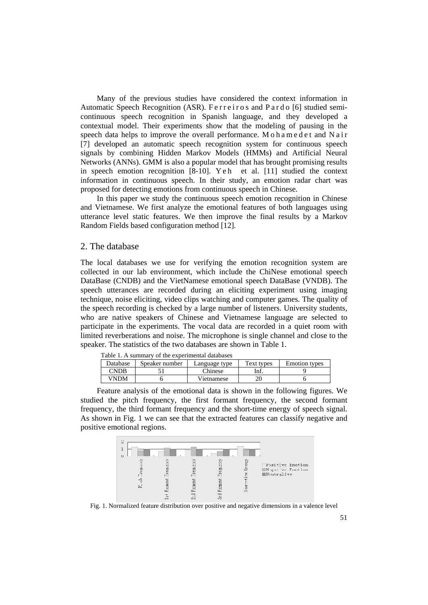Many of the previous studies have considered the context information in Automatic Speech Recognition (ASR). Ferreiros and Pardo [6] studied semicontinuous speech recognition in Spanish language, and they developed a contextual model. Their experiments show that the modeling of pausing in the speech data helps to improve the overall performance. Mohamedet and Nair [7] developed an automatic speech recognition system for continuous speech signals by combining Hidden Markov Models (HMMs) and Artificial Neural Networks (ANNs). GMM is also a popular model that has brought promising results in speech emotion re cognition [8 8-10]. Y e h et al. [1 1] studied the context information in continuous speech. In their study, an emotion radar chart was proposed for detecting emotions from continuous speech in Chinese.

In this paper we study the continuous speech emotion recognition in Chinese and Vietnamese. We first analyze the emotional features of both languages using utterance level static features. We then improve the final results by a Markov Random Fields based configuration method [12].

## 2. The database

The local databases we use for verifying the emotion recognition system are collected in our lab environment, which include the ChiNese emotional speech DataBase (CNDB) and the VietNamese emotional speech DataBase (VNDB). The speech utterances are recorded during an eliciting experiment using imaging technique, noise eliciting, video clips watching and computer games. The quality of the speech recording is checked by a large number of listeners. University students, who are native speakers of Chinese and Vietnamese language are selected to participate in the experiments. The vocal data are recorded in a quiet room with limited reverberations and noise. The microphone is single channel and close to the speaker. The statistics of the two databases are shown in Table 1.

| Table 1. A summary of the experimental databases |                |               |            |                      |  |  |  |
|--------------------------------------------------|----------------|---------------|------------|----------------------|--|--|--|
| Database                                         | Speaker number | Language type | Text types | <b>Emotion</b> types |  |  |  |
| CNDB                                             |                | Chinese       | Inf.       |                      |  |  |  |
| VNDM                                             |                | Vietnamese    | 20         |                      |  |  |  |

mental databases

Feature analysis of the emotional data is shown in the following figures. We studied the pitch frequency, the first formant frequency, the second formant frequency, the third formant frequency and the short-time energy of speech signal. As shown in Fig. 1 we can see that the extracted features can classify negative and positive emotional regions.



Fig. 1. Normalized feature distribution over positive and negative dimensions in a valence level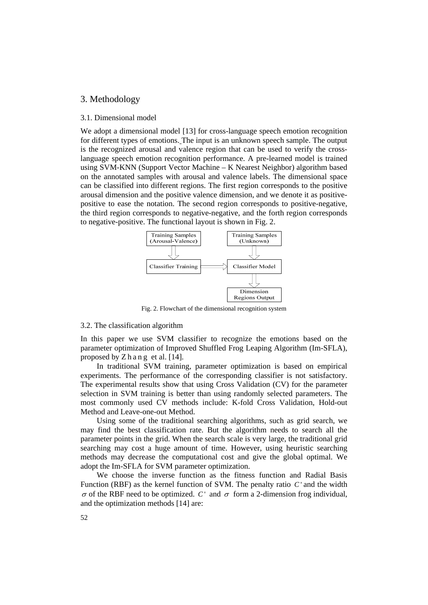### 3. Methodology

#### 3.1. Dimensional model

We adopt a dimensional model [13] for cross-language speech emotion recognition for different types of emotions. The input is an unknown speech sample. The output is the recognized arousal and valence region that can be used to verify the crosslanguage speech emotion recognition performance. A pre-learned model is trained using SVM-KNN (Support Vector Machine – K Nearest Neighbor) algorithm based on the annotated samples with arousal and valence labels. The dimensional space can be classified into different regions. The first region corresponds to the positive arousal dimension and the positive valence dimension, and we denote it as positivepositive to ease the notation. The second region corresponds to positive-negative, the third region corresponds to negative-negative, and the forth region corresponds to negative-positive. The functional layout is shown in Fig. 2.



Fig. 2. Flowchart of the dimensional recognition system

#### 3.2. The classification algorithm

In this paper we use SVM classifier to recognize the emotions based on the parameter optimization of Improved Shuffled Frog Leaping Algorithm (Im-SFLA), proposed by  $Z \, h$  a n g et al. [14].

In traditional SVM training, parameter optimization is based on empirical experiments. The performance of the corresponding classifier is not satisfactory. The experimental results show that using Cross Validation (CV) for the parameter selection in SVM training is better than using randomly selected parameters. The most commonly used CV methods include: K-fold Cross Validation, Hold-out Method and Leave-one-out Method.

Using some of the traditional searching algorithms, such as grid search, we may find the best classification rate. But the algorithm needs to search all the parameter points in the grid. When the search scale is very large, the traditional grid searching may cost a huge amount of time. However, using heuristic searching methods may decrease the computational cost and give the global optimal. We adopt the Im-SFLA for SVM parameter optimization.

We choose the inverse function as the fitness function and Radial Basis Function (RBF) as the kernel function of SVM. The penalty ratio *C* ' and the width  $\sigma$  of the RBF need to be optimized. *C* and  $\sigma$  form a 2-dimension frog individual, and the optimization methods [14] are: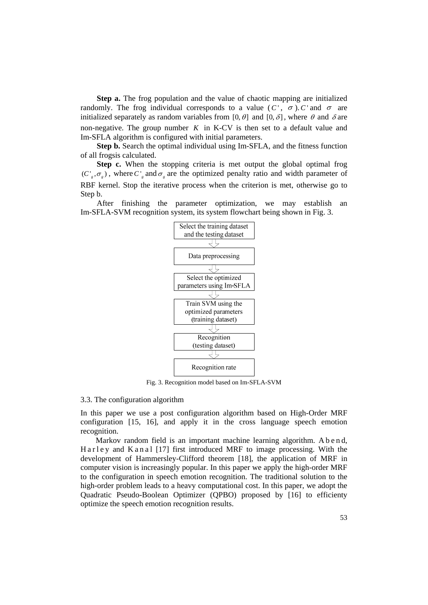**Step a.** The frog population and the value of chaotic mapping are initialized randomly. The frog individual corresponds to a value  $(C', \sigma)$ . *C* and  $\sigma$  are initialized separately as random variables from [0,  $\theta$ ] and [0,  $\delta$ ], where  $\theta$  and  $\delta$  are non-negative. The group number  $K$  in K-CV is then set to a default value and Im-SFLA algorithm is configured with initial parameters.

**Step b.** Search the optimal individual using Im-SFLA, and the fitness function of all frogsis calculated.

**Step c.** When the stopping criteria is met output the global optimal frog  $(C', \sigma)$ , where  $C'$  and  $\sigma$  are the optimized penalty ratio and width parameter of RBF kernel. Stop the iterative process when the criterion is met, otherwise go to Step b.

After finishing the parameter optimization, we may establish an Im-SFLA-SVM recognition system, its system flowchart being shown in Fig. 3.



Fig. 3. Recognition model based on Im-SFLA-SVM

#### 3.3. The configuration algorithm

In this paper we use a post configuration algorithm based on High-Order MRF configuration [15, 16], and apply it in the cross language speech emotion recognition.

Markov random field is an important machine learning algorithm. A b e n d, Harley and Kanal  $[17]$  first introduced MRF to image processing. With the development of Hammersley-Clifford theorem [18], the application of MRF in computer vision is increasingly popular. In this paper we apply the high-order MRF to the configuration in speech emotion recognition. The traditional solution to the high-order problem leads to a heavy computational cost. In this paper, we adopt the Quadratic Pseudo-Boolean Optimizer (QPBO) proposed by [16] to efficienty optimize the speech emotion recognition results.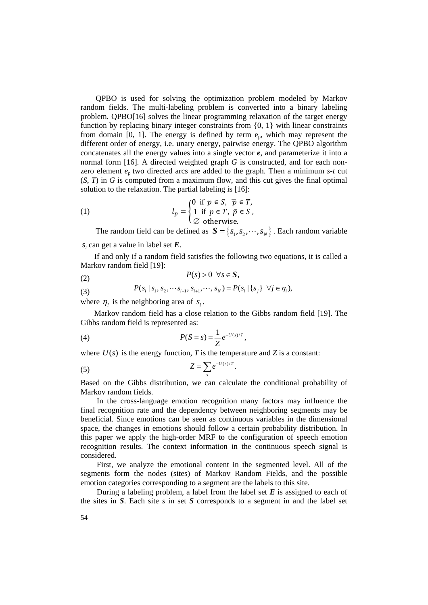QPBO is used for solving the optimization problem modeled by Markov random fields. The multi-labeling problem is converted into a binary labeling problem. QPBO[16] solves the linear programming relaxation of the target energy function by replacing binary integer constraints from {0, 1} with linear constraints from domain [0, 1]. The energy is defined by term  $e_p$ , which may represent the different order of energy, i.e. unary energy, pairwise energy. The QPBO algorithm concatenates all the energy values into a single vector *e*, and parameterize it into a normal form [16]. A directed weighted graph *G* is constructed, and for each nonzero element  $e_p$  two directed arcs are added to the graph. Then a minimum  $s$ - $t$  cut (*S*, *T*) in *G* is computed from a maximum flow, and this cut gives the final optimal solution to the relaxation. The partial labeling is [16]:

(1) 
$$
l_p = \begin{cases} 0 & \text{if } p \in S, \overline{p} \in T, \\ 1 & \text{if } p \in T, \ \overline{p} \in S, \\ \varnothing & \text{otherwise.} \end{cases}
$$

The random field can be defined as  $S = \{s_1, s_2, \dots, s_N\}$ . Each random variable *<sup>i</sup> s* can get a value in label set *E*.

If and only if a random field satisfies the following two equations, it is called a Markov random field [19]:

$$
(2) \t\t P(s) > 0 \quad \forall s \in S,
$$

(3) 
$$
P(s_i \mid s_1, s_2, \cdots s_{i-1}, s_{i+1}, \cdots, s_N) = P(s_i \mid \{s_j\} \ \forall j \in \eta_i),
$$

where  $\eta_i$  is the neighboring area of  $s_i$ .

Markov random field has a close relation to the Gibbs random field [19]. The Gibbs random field is represented as:

(4) 
$$
P(S = s) = \frac{1}{Z}e^{-U(s)/T},
$$

where  $U(s)$  is the energy function, *T* is the temperature and *Z* is a constant:

$$
Z = \sum_{s} e^{-U(s)/T}.
$$

Based on the Gibbs distribution, we can calculate the conditional probability of Markov random fields.

In the cross-language emotion recognition many factors may influence the final recognition rate and the dependency between neighboring segments may be beneficial. Since emotions can be seen as continuous variables in the dimensional space, the changes in emotions should follow a certain probability distribution. In this paper we apply the high-order MRF to the configuration of speech emotion recognition results. The context information in the continuous speech signal is considered.

First, we analyze the emotional content in the segmented level. All of the segments form the nodes (sites) of Markov Random Fields, and the possible emotion categories corresponding to a segment are the labels to this site.

During a labeling problem, a label from the label set *E* is assigned to each of the sites in *S*. Each site *s* in set *S* corresponds to a segment in and the label set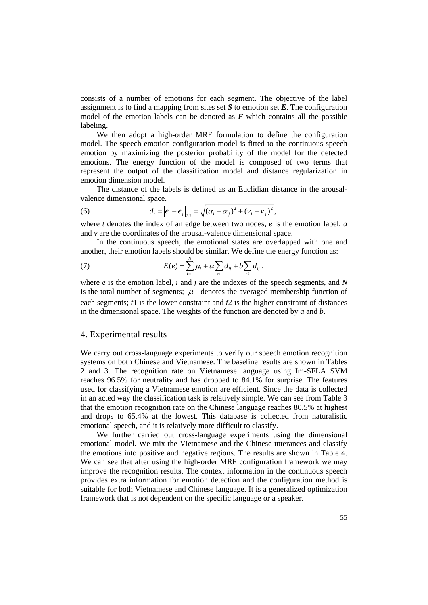consists of a number of emotions for each segment. The objective of the label assignment is to find a mapping from sites set  $S$  to emotion set  $\vec{E}$ . The configuration model of the emotion labels can be denoted as  $F$  which contains all the possible labeling.

We then adopt a high-order MRF formulation to define the configuration model. The speech emotion configuration model is fitted to the continuous speech emotion by maximizing the posterior probability of the model for the detected emotions. The energy function of the model is composed of two terms that represent the output of the classification model and distance regularization in emotion dimension model.

The distance of the labels is defined as an Euclidian distance in the arousalvalence dimensional space.

(6) 
$$
d_{t} = |e_{i} - e_{j}|_{L^{2}} = \sqrt{(\alpha_{i} - \alpha_{j})^{2} + (\nu_{i} - \nu_{j})^{2}},
$$

where *t* denotes the index of an edge between two nodes, *e* is the emotion label, *a* and *v* are the coordinates of the arousal-valence dimensional space.

In the continuous speech, the emotional states are overlapped with one and another, their emotion labels should be similar. We define the energy function as:

(7) 
$$
E(e) = \sum_{i=1}^{N} \mu_i + \alpha \sum_{i1} d_{ij} + b \sum_{i2} d_{ij},
$$

where *e* is the emotion label, *i* and *j* are the indexes of the speech segments, and *N* is the total number of segments;  $\mu$  denotes the averaged membership function of each segments; *t*1 is the lower constraint and *t*2 is the higher constraint of distances in the dimensional space. The weights of the function are denoted by *a* and *b*.

### 4. Experimental results

We carry out cross-language experiments to verify our speech emotion recognition systems on both Chinese and Vietnamese. The baseline results are shown in Tables 2 and 3. The recognition rate on Vietnamese language using Im-SFLA SVM reaches 96.5% for neutrality and has dropped to 84.1% for surprise. The features used for classifying a Vietnamese emotion are efficient. Since the data is collected in an acted way the classification task is relatively simple. We can see from Table 3 that the emotion recognition rate on the Chinese language reaches 80.5% at highest and drops to 65.4% at the lowest. This database is collected from naturalistic emotional speech, and it is relatively more difficult to classify.

We further carried out cross-language experiments using the dimensional emotional model. We mix the Vietnamese and the Chinese utterances and classify the emotions into positive and negative regions. The results are shown in Table 4. We can see that after using the high-order MRF configuration framework we may improve the recognition results. The context information in the continuous speech provides extra information for emotion detection and the configuration method is suitable for both Vietnamese and Chinese language. It is a generalized optimization framework that is not dependent on the specific language or a speaker.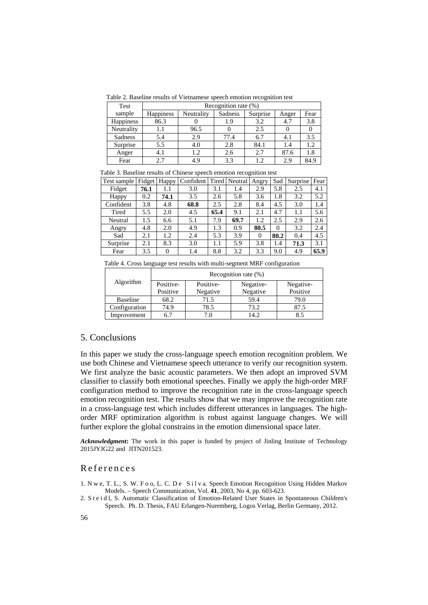Table 2. Baseline results of Vietnamese speech emotion recognition test

| Test       | Recognition rate (%) |            |         |          |       |      |  |
|------------|----------------------|------------|---------|----------|-------|------|--|
| sample     | Happiness            | Neutrality | Sadness | Surprise | Anger | Fear |  |
| Happiness  | 86.3                 |            | 1.9     | 3.2      | 4.7   | 3.8  |  |
| Neutrality | 1.1                  | 96.5       |         | 2.5      |       | 0    |  |
| Sadness    | 5.4                  | 2.9        | 77.4    | 6.7      | 4.1   | 3.5  |  |
| Surprise   | 5.5                  | 4.0        | 2.8     | 84.1     | 1.4   | 1.2  |  |
| Anger      | 4.1                  | 1.2        | 2.6     | 2.7      | 87.6  | 1.8  |  |
| Fear       | 2.7                  | 4.9        | 3.3     | 1.2.     | 2.9   | 84.9 |  |

Table 3. Baseline results of Chinese speech emotion recognition test

| Test sample | Fidget | Happy | Confident |      | Tired Neutral | Angry    | Sad      | Surprise | Fear |
|-------------|--------|-------|-----------|------|---------------|----------|----------|----------|------|
| Fidget      | 76.1   | 1.1   | 3.0       | 3.1  | 1.4           | 2.9      | 5.8      | 2.5      | 4.1  |
| Happy       | 0.2    | 74.1  | 3.5       | 2.6  | 5.8           | 3.6      | 1.8      | 3.2      | 5.2  |
| Confident   | 3.8    | 4.8   | 68.8      | 2.5  | 2.8           | 8.4      | 4.5      | 3.0      | 1.4  |
| Tired       | 5.5    | 2.0   | 4.5       | 65.4 | 9.1           | 2.1      | 4.7      | 1.1      | 5.6  |
| Neutral     | 1.5    | 6.6   | 5.1       | 7.9  | 69.7          | 1.2      | 2.5      | 2.9      | 2.6  |
| Angry       | 4.8    | 2.0   | 4.9       | 1.3  | 0.9           | 80.5     | $\theta$ | 3.2      | 2.4  |
| Sad         | 2.1    | 1.2   | 2.4       | 5.3  | 3.9           | $\Omega$ | 80.2     | 0.4      | 4.5  |
| Surprise    | 2.1    | 8.3   | 3.0       | 1.1  | 5.9           | 3.8      | 1.4      | 71.3     | 3.1  |
| Fear        | 3.5    | 0     | 1.4       | 8.8  | 3.2           | 3.3      | 9.0      | 4.9      | 65.9 |

Table 4. Cross language test results with multi-segment MRF configuration

|               | Recognition rate $(\%)$ |          |           |           |  |  |  |
|---------------|-------------------------|----------|-----------|-----------|--|--|--|
| Algorithm     | Positive-<br>Positive-  |          | Negative- | Negative- |  |  |  |
|               | Positive                | Negative | Negative  | Positive  |  |  |  |
| Baseline      | 68.2                    | 71.5     | 59.4      | 79.0      |  |  |  |
| Configuration | 74.9                    | 78.5     | 73.2      | 87.5      |  |  |  |
| Improvement   | 6.7                     | 7.0      | 14.2      | 8.5       |  |  |  |

## 5. Conclusions

In this paper we study the cross-language speech emotion recognition problem. We use both Chinese and Vietnamese speech utterance to verify our recognition system. We first analyze the basic acoustic parameters. We then adopt an improved SVM classifier to classify both emotional speeches. Finally we apply the high-order MRF configuration method to improve the recognition rate in the cross-language speech emotion recognition test. The results show that we may improve the recognition rate in a cross-language test which includes different utterances in languages. The highorder MRF optimization algorithm is robust against language changes. We will further explore the global constrains in the emotion dimensional space later.

*Acknowledgment***:** The work in this paper is funded by project of Jinling Institute of Technology 2015JYJG22 and JITN201523.

## References

- 1. N w e, T. L., S. W. F o o, L. C. D e S i l v a. Speech Emotion Recognition Using Hidden Markov Models. – Speech Communication, Vol. **41**, 2003, No 4, pp. 603-623.
- 2. S t e i d l, S. Automatic Classification of Emotion-Related User States in Spontaneous Children's Speech. Ph. D. Thesis, FAU Erlangen-Nuremberg, Logos Verlag, Berlin Germany, 2012.